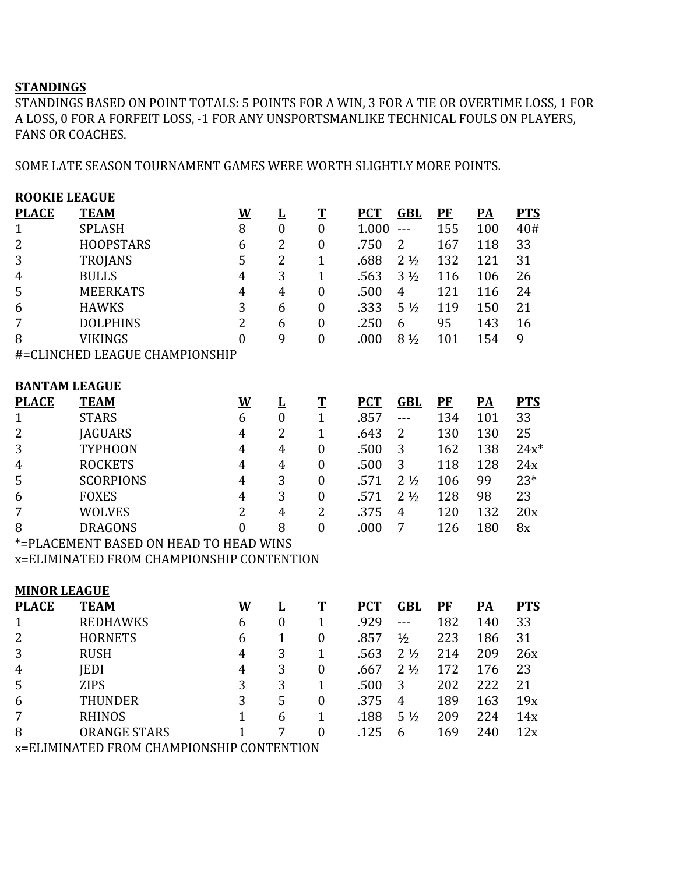## **STANDINGS**

STANDINGS BASED ON POINT TOTALS: 5 POINTS FOR A WIN, 3 FOR A TIE OR OVERTIME LOSS, 1 FOR A LOSS, 0 FOR A FORFEIT LOSS, -1 FOR ANY UNSPORTSMANLIKE TECHNICAL FOULS ON PLAYERS, FANS OR COACHES.

SOME LATE SEASON TOURNAMENT GAMES WERE WORTH SLIGHTLY MORE POINTS.

| <b>ROOKIE LEAGUE</b> |                                           |                          |                  |                  |            |                               |           |                           |            |
|----------------------|-------------------------------------------|--------------------------|------------------|------------------|------------|-------------------------------|-----------|---------------------------|------------|
| <b>PLACE</b>         | <b>TEAM</b>                               | $\underline{\mathsf{W}}$ | L                | $\mathbf T$      | <b>PCT</b> | <b>GBL</b>                    | <b>PF</b> | PA                        | <b>PTS</b> |
| $\mathbf{1}$         | <b>SPLASH</b>                             | 8                        | $\boldsymbol{0}$ | $\overline{0}$   | 1.000      | $---$                         | 155       | 100                       | 40#        |
| $\overline{2}$       | <b>HOOPSTARS</b>                          | 6                        | $\overline{2}$   | $\boldsymbol{0}$ | .750       | $\overline{2}$                | 167       | 118                       | 33         |
| 3                    | <b>TROJANS</b>                            | 5                        | $\overline{2}$   | $\overline{1}$   | .688       | 2 <sup>1</sup> / <sub>2</sub> | 132       | 121                       | 31         |
| $\boldsymbol{4}$     | <b>BULLS</b>                              | $\overline{4}$           | 3                | $\mathbf{1}$     | .563       | $3\frac{1}{2}$                | 116       | 106                       | 26         |
| 5                    | <b>MEERKATS</b>                           | $\overline{4}$           | $\overline{4}$   | $\boldsymbol{0}$ | .500       | $\overline{4}$                | 121       | 116                       | 24         |
| 6                    | <b>HAWKS</b>                              | 3                        | 6                | $\boldsymbol{0}$ | .333       | $5\frac{1}{2}$                | 119       | 150                       | 21         |
| $\overline{7}$       | <b>DOLPHINS</b>                           | $\overline{2}$           | 6                | $\boldsymbol{0}$ | .250       | 6                             | 95        | 143                       | 16         |
| 8                    | <b>VIKINGS</b>                            | $\overline{0}$           | 9                | $\mathbf{0}$     | .000       | $8\frac{1}{2}$                | 101       | 154                       | 9          |
|                      | #=CLINCHED LEAGUE CHAMPIONSHIP            |                          |                  |                  |            |                               |           |                           |            |
|                      |                                           |                          |                  |                  |            |                               |           |                           |            |
| <b>BANTAM LEAGUE</b> |                                           |                          |                  |                  |            |                               |           |                           |            |
| <b>PLACE</b>         | <b>TEAM</b>                               | $\underline{\mathbf{W}}$ | Ŀ                | $\mathbf T$      | <b>PCT</b> | <b>GBL</b>                    | $P$ $F$   | $\underline{\mathbf{PA}}$ | <b>PTS</b> |
| $\mathbf{1}$         | <b>STARS</b>                              | 6                        | $\boldsymbol{0}$ | $\mathbf{1}$     | .857       | ---                           | 134       | 101                       | 33         |
| $\overline{c}$       | <b>JAGUARS</b>                            | $\overline{4}$           | $\overline{2}$   | $\mathbf{1}$     | .643       | $\overline{2}$                | 130       | 130                       | 25         |
| 3                    | <b>TYPHOON</b>                            | $\overline{4}$           | $\overline{4}$   | $\boldsymbol{0}$ | .500       | 3                             | 162       | 138                       | $24x^*$    |
| $\boldsymbol{4}$     | <b>ROCKETS</b>                            | $\overline{4}$           | $\overline{4}$   | $\boldsymbol{0}$ | .500       | 3                             | 118       | 128                       | 24x        |
| 5                    | <b>SCORPIONS</b>                          | $\overline{4}$           | 3                | $\boldsymbol{0}$ | .571       | $2\frac{1}{2}$                | 106       | 99                        | $23*$      |
| 6                    | <b>FOXES</b>                              | $\overline{4}$           | 3                | $\boldsymbol{0}$ | .571       | $2\frac{1}{2}$                | 128       | 98                        | 23         |
| 7                    | <b>WOLVES</b>                             | $\overline{2}$           | $\overline{4}$   | $\overline{2}$   | .375       | $\overline{4}$                | 120       | 132                       | 20x        |
| 8                    | <b>DRAGONS</b>                            | $\overline{0}$           | 8                | $\overline{0}$   | .000       | $\overline{7}$                | 126       | 180                       | 8x         |
|                      | *= PLACEMENT BASED ON HEAD TO HEAD WINS   |                          |                  |                  |            |                               |           |                           |            |
|                      | x=ELIMINATED FROM CHAMPIONSHIP CONTENTION |                          |                  |                  |            |                               |           |                           |            |
|                      |                                           |                          |                  |                  |            |                               |           |                           |            |
| <b>MINOR LEAGUE</b>  |                                           |                          |                  |                  |            |                               |           |                           |            |
| <b>PLACE</b>         | <b>TEAM</b>                               | $\mathbf W$              | L                | $\mathbf T$      | <b>PCT</b> | <b>GBL</b>                    | PF        | $\overline{PA}$           | <b>PTS</b> |
| $\mathbf{1}$         | <b>REDHAWKS</b>                           | 6                        | $\boldsymbol{0}$ | $\mathbf{1}$     | .929       | $ -$                          | 182       | 140                       | 33         |
| $\overline{2}$       | <b>HORNETS</b>                            | 6                        | $\mathbf{1}$     | $\boldsymbol{0}$ | .857       | $\frac{1}{2}$                 | 223       | 186                       | 31         |
| 3                    | <b>RUSH</b>                               | $\overline{4}$           | 3                | $\overline{1}$   | .563       | $2\frac{1}{2}$                | 214       | 209                       | 26x        |
| $\boldsymbol{4}$     | <b>JEDI</b>                               | $\boldsymbol{4}$         | 3                | $\overline{0}$   | .667       | $2\frac{1}{2}$                | 172       | 176                       | 23         |
| 5                    | <b>ZIPS</b>                               | 3                        | 3                | $\mathbf{1}$     | .500       | 3                             | 202       | 222                       | 21         |
| 6                    | <b>THUNDER</b>                            | 3                        | 5                | $\boldsymbol{0}$ | .375       | $\overline{4}$                | 189       | 163                       | 19x        |
| 7                    | <b>RHINOS</b>                             | $\mathbf{1}$             | 6                | $\mathbf{1}$     | .188       | $5\frac{1}{2}$                | 209       | 224                       | 14x        |
| 8                    | <b>ORANGE STARS</b>                       | $\mathbf{1}$             | 7                | $\boldsymbol{0}$ | .125       | 6                             | 169       | 240                       | 12x        |
|                      | x=ELIMINATED FROM CHAMPIONSHIP CONTENTION |                          |                  |                  |            |                               |           |                           |            |